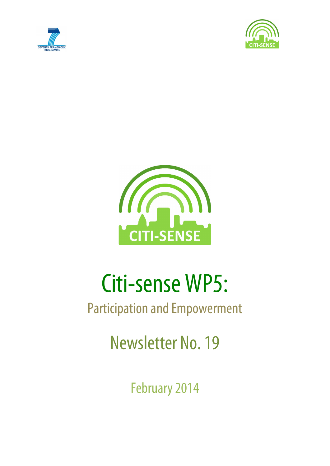





# Citi-sense WP5:

## Participation and Empowerment

Newsletter No. 19

February 2014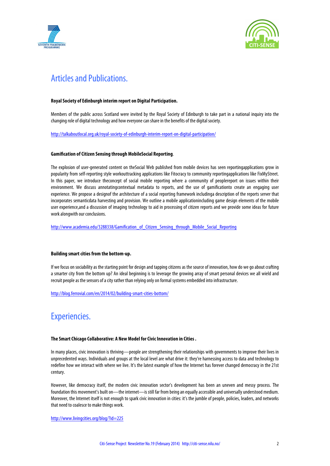



## Articles and Publications.

## **Royal Society of Edinburgh interim report on Digital Participation.**

Members of the public across Scotland were invited by the Royal Society of Edinburgh to take part in a national inquiry into the changing role of digital technology and how everyone can share in the benefits of the digital society.

http://talkaboutlocal.org.uk/royal-society-of-edinburgh-interim-report-on-digital-participation/

## **Gamification of Citizen Sensing through MobileSocial Reporting**.

The explosion of user-generated content on theSocial Web published from mobile devices has seen reportingapplications grow in popularity from self-reporting style workouttracking applications like Fitocracy to community reportingapplications like FixMyStreet. In this paper, we introduce theconcept of social mobile reporting where a community of peoplereport on issues within their environment. We discuss annotatingcontextual metadata to reports, and the use of gamificationto create an engaging user experience. We propose a designof the architecture of a social reporting framework includinga description of the reports server that incorporates semanticdata harvesting and provision. We outline a mobile applicationincluding game design elements of the mobile user experience,and a discussion of imaging technology to aid in processing of citizen reports and we provide some ideas for future work alongwith our conclusions.

http://www.academia.edu/3288338/Gamification\_of\_Citizen\_Sensing\_through\_Mobile\_Social\_Reporting

## **Building smart cities from the bottom-up.**

If we focus on sociability as the starting point for design and tapping citizens as the source of innovation, how do we go about crafting a smarter city from the bottom up? An ideal beginning is to leverage the growing array of smart personal devices we all wield and recruit people as the sensors of a city rather than relying only on formal systems embedded into infrastructure.

http://blog.ferrovial.com/en/2014/02/building-smart-cities-bottom/

## Experiencies.

## **The Smart Chicago Collaborative: A New Model for Civic Innovation in Cities .**

In many places, civic innovation is thriving—people are strengthening their relationships with governments to improve their lives in unprecedented ways. Individuals and groups at the local level are what drive it: they're harnessing access to data and technology to redefine how we interact with where we live. It's the latest example of how the Internet has forever changed democracy in the21st century.

However, like democracy itself, the modern civic innovation sector's development has been an uneven and messy process. The foundation this movement's built on—the internet—is still far from being an equally accessible and universally understood medium. Moreover, the Internet itself is not enough to spark civic innovation in cities: it's the jumble of people, policies, leaders, and networks that need to coalesce to make things work.

#### http://www.livingcities.org/blog/?id=225